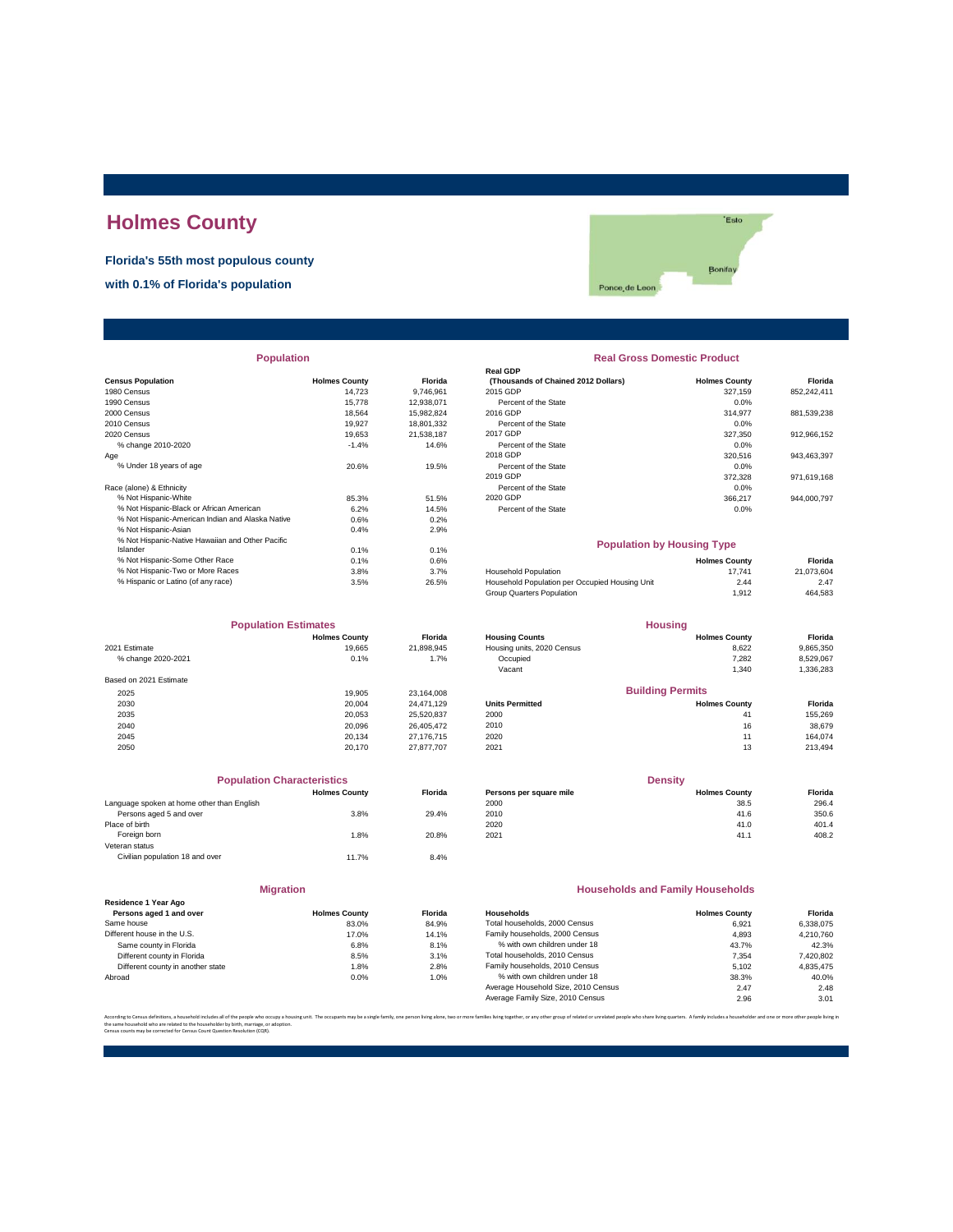# **Holmes County**

**Florida's 55th most populous county**

**with 0.1% of Florida's population**

'Esto Bonifay Ponce<sub>, de</sub> Leon

|                                                  |                      |            | ושט וואטו                                      |                      |             |
|--------------------------------------------------|----------------------|------------|------------------------------------------------|----------------------|-------------|
| <b>Census Population</b>                         | <b>Holmes County</b> | Florida    | (Thousands of Chained 2012 Dollars)            | <b>Holmes County</b> | Florida     |
| 1980 Census                                      | 14.723               | 9,746,961  | 2015 GDP                                       | 327.159              | 852,242,411 |
| 1990 Census                                      | 15.778               | 12,938,071 | Percent of the State                           | 0.0%                 |             |
| 2000 Census                                      | 18.564               | 15,982,824 | 2016 GDP                                       | 314.977              | 881,539,238 |
| 2010 Census                                      | 19.927               | 18,801,332 | Percent of the State                           | 0.0%                 |             |
| 2020 Census                                      | 19.653               | 21,538,187 | 2017 GDP                                       | 327,350              | 912,966,152 |
| % change 2010-2020                               | $-1.4%$              | 14.6%      | Percent of the State                           | 0.0%                 |             |
| Age                                              |                      |            | 2018 GDP                                       | 320,516              | 943,463,397 |
| % Under 18 years of age                          | 20.6%                | 19.5%      | Percent of the State                           | 0.0%                 |             |
|                                                  |                      |            | 2019 GDP                                       | 372,328              | 971,619,168 |
| Race (alone) & Ethnicity                         |                      |            | Percent of the State                           | 0.0%                 |             |
| % Not Hispanic-White                             | 85.3%                | 51.5%      | 2020 GDP                                       | 366,217              | 944,000,797 |
| % Not Hispanic-Black or African American         | 6.2%                 | 14.5%      | Percent of the State                           | 0.0%                 |             |
| % Not Hispanic-American Indian and Alaska Native | 0.6%                 | 0.2%       |                                                |                      |             |
| % Not Hispanic-Asian                             | 0.4%                 | 2.9%       |                                                |                      |             |
| % Not Hispanic-Native Hawaiian and Other Pacific |                      |            | <b>Population by Housing Type</b>              |                      |             |
| Islander                                         | 0.1%                 | 0.1%       |                                                |                      |             |
| % Not Hispanic-Some Other Race                   | 0.1%                 | 0.6%       |                                                | <b>Holmes County</b> | Florida     |
| % Not Hispanic-Two or More Races                 | 3.8%                 | 3.7%       | <b>Household Population</b>                    | 17.741               | 21,073,604  |
| % Hispanic or Latino (of any race)               | 3.5%                 | 26.5%      | Household Population per Occupied Housing Unit | 2.44                 | 2.47        |
|                                                  |                      |            |                                                |                      |             |

| <b>Population Estimates</b> |                      |                | <b>Housing</b>             |                         |           |  |
|-----------------------------|----------------------|----------------|----------------------------|-------------------------|-----------|--|
|                             | <b>Holmes County</b> | <b>Florida</b> | <b>Housing Counts</b>      | <b>Holmes County</b>    | Florida   |  |
| 2021 Estimate               | 19.665               | 21,898,945     | Housing units, 2020 Census | 8,622                   | 9,865,350 |  |
| % change 2020-2021          | 0.1%                 | 1.7%           | Occupied                   | 7.282                   | 8,529,067 |  |
|                             |                      |                | Vacant                     | 1,340                   | 1,336,283 |  |
| Based on 2021 Estimate      |                      |                |                            |                         |           |  |
| 2025                        | 19.905               | 23.164.008     |                            | <b>Building Permits</b> |           |  |
| 2030                        | 20,004               | 24.471.129     | <b>Units Permitted</b>     | <b>Holmes County</b>    | Florida   |  |
| 2035                        | 20.053               | 25,520,837     | 2000                       | 41                      | 155,269   |  |
| 2040                        | 20,096               | 26.405.472     | 2010                       | 16                      | 38,679    |  |
| 2045                        | 20.134               | 27.176.715     | 2020                       | 11                      | 164.074   |  |
| 2050                        | 20.170               | 27.877.707     | 2021                       | 13                      | 213,494   |  |

|                                            | <b>Population Characteristics</b> |                |
|--------------------------------------------|-----------------------------------|----------------|
|                                            | <b>Holmes County</b>              | <b>Florida</b> |
| Language spoken at home other than English |                                   |                |
| Persons aged 5 and over                    | 3.8%                              | 29.4%          |
| Place of birth                             |                                   |                |
| Foreign born                               | 1.8%                              | 20.8%          |
| Veteran status                             |                                   |                |
| Civilian population 18 and over            | 11.7%                             | 8.4%           |
|                                            |                                   |                |

|                                                 | <b>Migration</b>     |         |
|-------------------------------------------------|----------------------|---------|
| Residence 1 Year Ago<br>Persons aged 1 and over | <b>Holmes County</b> | Florida |
| Same house                                      | 83.0%                | 84.9%   |
| Different house in the U.S.                     | 17.0%                | 14.1%   |
| Same county in Florida                          | 6.8%                 | 8.1%    |
| Different county in Florida                     | 8.5%                 | 3.1%    |
| Different county in another state               | 1.8%                 | 2.8%    |
| $\cdots$                                        | 0.001                | 1.001   |

# **Real GDP**

**Real Gross Domestic Product** 

| Percent of the State | $0.0\%$ |             |
|----------------------|---------|-------------|
| 2019 GDP             | 372.328 | 971.619.168 |
| Percent of the State | 0.0%    |             |
| 2020 GDP             | 366,217 | 944.000.797 |
| Percent of the State | $0.0\%$ |             |
|                      |         |             |

### **Population by Housing Type**

| % Not Hispanic-Some Other Race     | 0.1% | 0.6%  |                                                | <b>Holmes County</b> | Florida    |
|------------------------------------|------|-------|------------------------------------------------|----------------------|------------|
| % Not Hispanic-Two or More Races   | 3.8% | 3.7%  | <b>Household Population</b>                    | 17.741               | 21.073.604 |
| % Hispanic or Latino (of any race) | 3.5% | 26.5% | Household Population per Occupied Housing Unit | 2.44                 | 2.47       |
|                                    |      |       | Group Quarters Population                      | 1.912                | 464,583    |
|                                    |      |       |                                                |                      |            |

| <b>Population Estimates</b> |                      |                | <b>Housing</b>             |                         |                |
|-----------------------------|----------------------|----------------|----------------------------|-------------------------|----------------|
|                             | <b>Holmes County</b> | <b>Florida</b> | <b>Housing Counts</b>      | <b>Holmes County</b>    | <b>Florida</b> |
| 2021 Estimate               | 19.665               | 21.898.945     | Housing units, 2020 Census | 8.622                   | 9,865,350      |
| % change 2020-2021          | 0.1%                 | 1.7%           | Occupied                   | 7.282                   | 8,529,067      |
|                             |                      |                | Vacant                     | 1.340                   | 1,336,283      |
| Based on 2021 Estimate      |                      |                |                            |                         |                |
| 2025                        | 19.905               | 23.164.008     |                            | <b>Building Permits</b> |                |
| 2030                        | 20,004               | 24.471.129     | <b>Units Permitted</b>     | <b>Holmes County</b>    | <b>Florida</b> |
| 2035                        | 20.053               | 25.520.837     | 2000                       | 41                      | 155.269        |
| 2040                        | 20.096               | 26.405.472     | 2010                       | 16                      | 38.679         |
|                             |                      |                |                            |                         |                |

| <b>Population Characteristics</b>          |                      |         | <b>Density</b>          |                      |         |
|--------------------------------------------|----------------------|---------|-------------------------|----------------------|---------|
|                                            | <b>Holmes County</b> | Florida | Persons per square mile | <b>Holmes County</b> | Florida |
| Language spoken at home other than English |                      |         | 2000                    | 38.5                 | 296.4   |
| Persons aged 5 and over                    | 3.8%                 | 29.4%   | 2010                    | 41.6                 | 350.6   |
| Place of birth                             |                      |         | 2020                    | 41.0                 | 401.4   |
| Foreign born                               | .8%                  | 20.8%   | 2021                    | 41.1                 | 408.2   |

#### **Households and Family Households**

| <b>Holmes County</b> | <b>Florida</b> | Households                          | <b>Holmes County</b> | Florida   |
|----------------------|----------------|-------------------------------------|----------------------|-----------|
| 83.0%                | 84.9%          | Total households, 2000 Census       | 6.921                | 6.338.075 |
| 17.0%                | 14.1%          | Family households, 2000 Census      | 4.893                | 4.210.760 |
| 6.8%                 | 8.1%           | % with own children under 18        | 43.7%                | 42.3%     |
| 8.5%                 | 3.1%           | Total households, 2010 Census       | 7.354                | 7,420,802 |
| 1.8%                 | 2.8%           | Family households, 2010 Census      | 5.102                | 4.835.475 |
| 0.0%                 | 1.0%           | % with own children under 18        | 38.3%                | 40.0%     |
|                      |                | Average Household Size, 2010 Census | 2.47                 | 2.48      |
|                      |                | Average Family Size, 2010 Census    | 2.96                 | 3.01      |
|                      |                |                                     |                      |           |

ies living together, or any other group of related or unrelated neonle who share living quarters. A family includes a householder and one or the same household who are related to the householder by birth, marriage, or adoption. Census counts may be corrected for Census Count Question Resolution (CQR).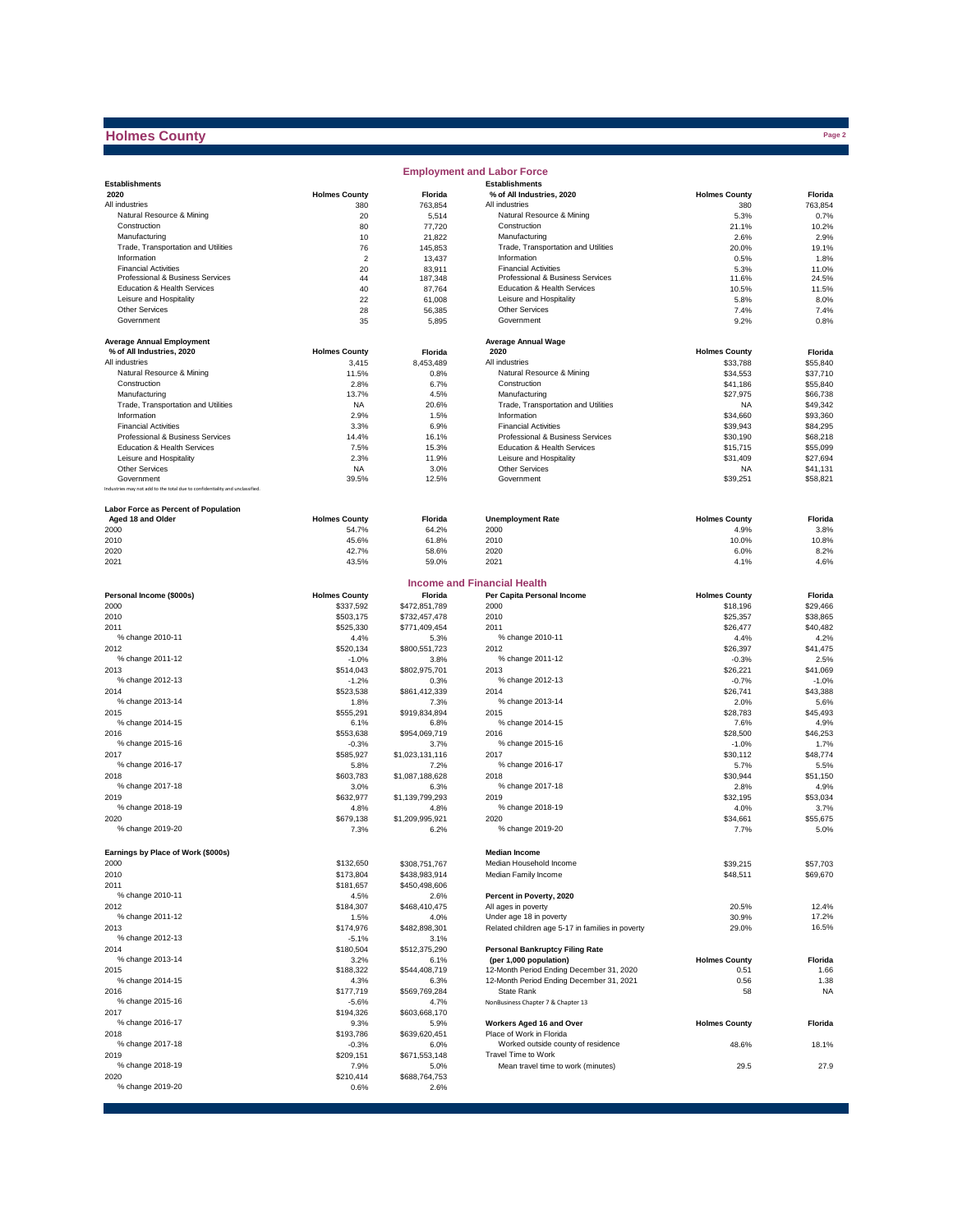# **Holmes County**

 $\sim$ 

|                                                                              |                      |                       | <b>Employment and Labor Force</b>                |                      |                      |
|------------------------------------------------------------------------------|----------------------|-----------------------|--------------------------------------------------|----------------------|----------------------|
| <b>Establishments</b>                                                        |                      |                       | <b>Establishments</b>                            |                      |                      |
| 2020                                                                         | <b>Holmes County</b> | Florida               | % of All Industries, 2020                        | <b>Holmes County</b> | Florida              |
| All industries                                                               | 380                  | 763,854               | All industries                                   | 380                  | 763,854              |
| Natural Resource & Mining                                                    | 20                   | 5,514                 | Natural Resource & Mining                        | 5.3%                 | 0.7%                 |
| Construction<br>Manufacturing                                                | 80<br>10             | 77,720<br>21,822      | Construction<br>Manufacturing                    | 21.1%<br>2.6%        | 10.2%<br>2.9%        |
| Trade, Transportation and Utilities                                          | 76                   | 145,853               | Trade, Transportation and Utilities              | 20.0%                | 19.1%                |
| Information                                                                  | $\overline{2}$       | 13,437                | Information                                      | 0.5%                 | 1.8%                 |
| <b>Financial Activities</b>                                                  | 20                   | 83,911                | <b>Financial Activities</b>                      | 5.3%                 | 11.0%                |
| Professional & Business Services                                             | 44                   | 187,348               | Professional & Business Services                 | 11.6%                | 24.5%                |
| Education & Health Services                                                  | 40                   | 87,764                | Education & Health Services                      | 10.5%                | 11.5%                |
| Leisure and Hospitality                                                      | 22                   | 61,008                | Leisure and Hospitality                          | 5.8%                 | 8.0%                 |
| Other Services                                                               | 28                   | 56,385                | <b>Other Services</b>                            | 7.4%                 | 7.4%                 |
| Government                                                                   | 35                   | 5,895                 | Government                                       | 9.2%                 | 0.8%                 |
|                                                                              |                      |                       |                                                  |                      |                      |
| <b>Average Annual Employment</b>                                             |                      |                       | <b>Average Annual Wage</b>                       |                      |                      |
| % of All Industries, 2020<br>All industries                                  | <b>Holmes County</b> | Florida               | 2020<br>All industries                           | <b>Holmes County</b> | Florida              |
| Natural Resource & Mining                                                    | 3,415<br>11.5%       | 8,453,489<br>0.8%     | Natural Resource & Mining                        | \$33,788<br>\$34.553 | \$55,840<br>\$37,710 |
| Construction                                                                 | 2.8%                 | 6.7%                  | Construction                                     | \$41,186             | \$55,840             |
| Manufacturing                                                                | 13.7%                | 4.5%                  | Manufacturing                                    | \$27,975             | \$66,738             |
| Trade, Transportation and Utilities                                          | NA                   | 20.6%                 | Trade, Transportation and Utilities              | <b>NA</b>            | \$49,342             |
| Information                                                                  | 2.9%                 | 1.5%                  | Information                                      | \$34,660             | \$93,360             |
| <b>Financial Activities</b>                                                  | 3.3%                 | 6.9%                  | <b>Financial Activities</b>                      | \$39,943             | \$84,295             |
| Professional & Business Services                                             | 14.4%                | 16.1%                 | Professional & Business Services                 | \$30,190             | \$68,218             |
| Education & Health Services                                                  | 7.5%                 | 15.3%                 | Education & Health Services                      | \$15,715             | \$55,099             |
| Leisure and Hospitality                                                      | 2.3%                 | 11.9%                 | Leisure and Hospitality                          | \$31,409             | \$27,694             |
| <b>Other Services</b>                                                        | <b>NA</b>            | 3.0%                  | Other Services                                   | <b>NA</b>            | \$41,131             |
| Government                                                                   | 39.5%                | 12.5%                 | Government                                       | \$39,251             | \$58,821             |
| Industries may not add to the total due to confidentiality and unclassified. |                      |                       |                                                  |                      |                      |
| Labor Force as Percent of Population                                         |                      |                       |                                                  |                      |                      |
| Aged 18 and Older                                                            | <b>Holmes County</b> | Florida               | <b>Unemployment Rate</b>                         | <b>Holmes County</b> | Florida              |
| 2000                                                                         | 54.7%                | 64.2%                 | 2000                                             | 4.9%                 | 3.8%                 |
| 2010                                                                         | 45.6%                | 61.8%                 | 2010                                             | 10.0%                | 10.8%                |
| 2020                                                                         | 42.7%                | 58.6%                 | 2020                                             | 6.0%                 | 8.2%                 |
| 2021                                                                         | 43.5%                | 59.0%                 | 2021                                             | 4.1%                 | 4.6%                 |
|                                                                              |                      |                       |                                                  |                      |                      |
|                                                                              |                      |                       | <b>Income and Financial Health</b>               |                      |                      |
| Personal Income (\$000s)                                                     | <b>Holmes County</b> | Florida               | Per Capita Personal Income                       | <b>Holmes County</b> | Florida              |
| 2000                                                                         | \$337,592            | \$472,851,789         | 2000                                             | \$18,196             | \$29,466             |
| 2010                                                                         | \$503,175            | \$732,457,478         | 2010                                             | \$25,357             | \$38,865             |
| 2011                                                                         | \$525,330            | \$771,409,454         | 2011                                             | \$26,477             | \$40,482             |
| % change 2010-11                                                             | 4.4%                 | 5.3%                  | % change 2010-11                                 | 4.4%                 | 4.2%                 |
| 2012                                                                         | \$520,134            | \$800,551,723         | 2012                                             | \$26,397             | \$41,475             |
| % change 2011-12                                                             | $-1.0%$              | 3.8%                  | % change 2011-12                                 | $-0.3%$              | 2.5%                 |
| 2013                                                                         | \$514,043            | \$802,975,701         | 2013                                             | \$26,221             | \$41,069             |
| % change 2012-13                                                             | $-1.2%$              | 0.3%                  | % change 2012-13                                 | $-0.7%$              | $-1.0%$              |
| 2014                                                                         | \$523,538            | \$861,412,339         | 2014                                             | \$26,741             | \$43,388             |
| % change 2013-14<br>2015                                                     | 1.8%<br>\$555,291    | 7.3%<br>\$919,834,894 | % change 2013-14<br>2015                         | 2.0%<br>\$28,783     | 5.6%<br>\$45,493     |
| % change 2014-15                                                             | 6.1%                 | 6.8%                  | % change 2014-15                                 | 7.6%                 | 4.9%                 |
| 2016                                                                         | \$553,638            | \$954,069,719         | 2016                                             | \$28,500             | \$46,253             |
| % change 2015-16                                                             | $-0.3%$              | 3.7%                  | % change 2015-16                                 | $-1.0%$              | 1.7%                 |
| 2017                                                                         | \$585,927            | \$1,023,131,116       | 2017                                             | \$30,112             | \$48,774             |
| % change 2016-17                                                             | 5.8%                 | 7.2%                  | % change 2016-17                                 | 5.7%                 | 5.5%                 |
| 2018                                                                         | \$603,783            | \$1,087,188,628       | 2018                                             | \$30,944             | \$51,150             |
| % change 2017-18                                                             | 3.0%                 | 6.3%                  | % change 2017-18                                 | 2.8%                 | 4.9%                 |
| 2019                                                                         | \$632,977            | \$1,139,799,293       | 2019                                             | \$32,195             | \$53,034             |
| % change 2018-19                                                             | 4.8%                 | 4.8%                  | % change 2018-19                                 | 4.0%                 | 3.7%                 |
| 2020                                                                         | \$679,138            | \$1,209,995,921       | 2020                                             | \$34.661             | \$55,675             |
| % change 2019-20                                                             | 7.3%                 | 6.2%                  | % change 2019-20                                 | 7.7%                 | 5.0%                 |
|                                                                              |                      |                       |                                                  |                      |                      |
| Earnings by Place of Work (\$000s)                                           |                      |                       | <b>Median Income</b>                             |                      |                      |
| ZUUU                                                                         | \$132,650            | \$308,751,767         | Median Household Income                          | \$39,215             | \$57,703             |
| 2010                                                                         | \$173,804            | \$438,983,914         | Median Family Income                             | \$48,511             | \$69,670             |
| 2011                                                                         | \$181,657            | \$450,498,606         |                                                  |                      |                      |
| % change 2010-11                                                             | 4.5%                 | 2.6%                  | Percent in Poverty, 2020                         |                      |                      |
| 2012<br>% change 2011-12                                                     | \$184,307            | \$468,410,475         | All ages in poverty<br>Under age 18 in poverty   | 20.5%<br>30.9%       | 12.4%<br>17.2%       |
| 2013                                                                         | 1.5%<br>\$174,976    | 4.0%<br>\$482,898,301 | Related children age 5-17 in families in poverty | 29.0%                | 16.5%                |
| % change 2012-13                                                             | $-5.1%$              | 3.1%                  |                                                  |                      |                      |
| 2014                                                                         | \$180,504            | \$512,375,290         | <b>Personal Bankruptcy Filing Rate</b>           |                      |                      |
| % change 2013-14                                                             | 3.2%                 | 6.1%                  | (per 1,000 population)                           | <b>Holmes County</b> | Florida              |
| 2015                                                                         | \$188,322            | \$544,408,719         | 12-Month Period Ending December 31, 2020         | 0.51                 | 1.66                 |
| % change 2014-15                                                             | 4.3%                 | 6.3%                  | 12-Month Period Ending December 31, 2021         | 0.56                 | 1.38                 |
| 2016                                                                         | \$177,719            | \$569,769,284         | State Rank                                       | 58                   | NA                   |
| % change 2015-16                                                             | $-5.6%$              | 4.7%                  | NonBusiness Chapter 7 & Chapter 13               |                      |                      |
| 2017                                                                         | \$194,326            | \$603,668,170         |                                                  |                      |                      |
| % change 2016-17                                                             | 9.3%                 | 5.9%                  | Workers Aged 16 and Over                         | <b>Holmes County</b> | Florida              |
| 2018                                                                         | \$193,786            | \$639,620,451         | Place of Work in Florida                         |                      |                      |
| % change 2017-18                                                             | $-0.3%$              | 6.0%                  | Worked outside county of residence               | 48.6%                | 18.1%                |
| 2019                                                                         | \$209,151            | \$671,553,148         | Travel Time to Work                              |                      |                      |
| % change 2018-19                                                             | 7.9%                 | 5.0%                  | Mean travel time to work (minutes)               | 29.5                 | 27.9                 |
| 2020<br>% change 2019-20                                                     | \$210,414<br>0.6%    | \$688,764,753<br>2.6% |                                                  |                      |                      |
|                                                                              |                      |                       |                                                  |                      |                      |